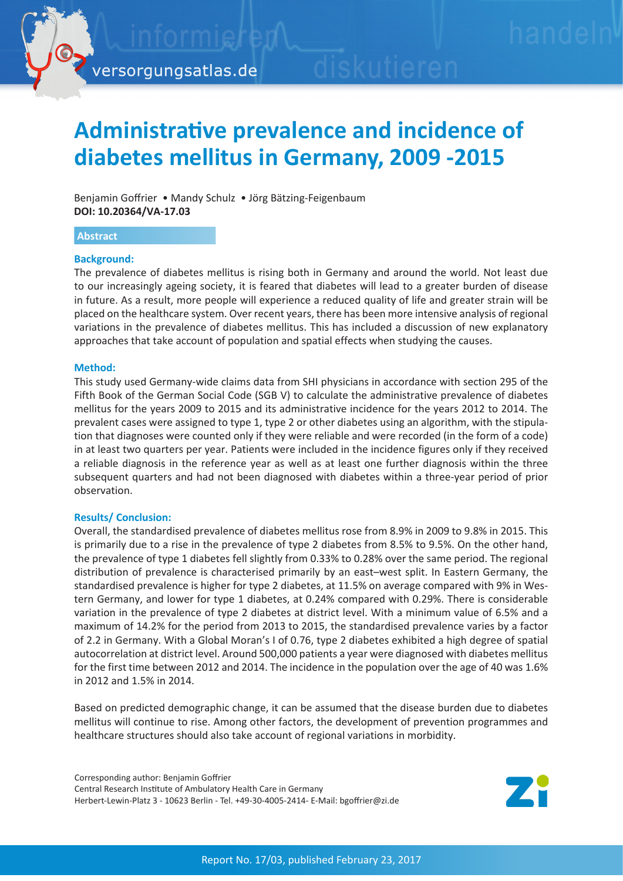

# **Administrative prevalence and incidence of diabetes mellitus in Germany, 2009 -2015**

Benjamin Goffrier • Mandy Schulz • Jörg Bätzing-Feigenbaum **DOI: 10.20364/VA-17.03**

#### **Abstract**

#### **Background:**

The prevalence of diabetes mellitus is rising both in Germany and around the world. Not least due to our increasingly ageing society, it is feared that diabetes will lead to a greater burden of disease in future. As a result, more people will experience a reduced quality of life and greater strain will be placed on the healthcare system. Over recent years, there has been more intensive analysis of regional variations in the prevalence of diabetes mellitus. This has included a discussion of new explanatory approaches that take account of population and spatial effects when studying the causes.

#### **Method:**

This study used Germany-wide claims data from SHI physicians in accordance with section 295 of the Fifth Book of the German Social Code (SGB V) to calculate the administrative prevalence of diabetes mellitus for the years 2009 to 2015 and its administrative incidence for the years 2012 to 2014. The prevalent cases were assigned to type 1, type 2 or other diabetes using an algorithm, with the stipulation that diagnoses were counted only if they were reliable and were recorded (in the form of a code) in at least two quarters per year. Patients were included in the incidence figures only if they received a reliable diagnosis in the reference year as well as at least one further diagnosis within the three subsequent quarters and had not been diagnosed with diabetes within a three-year period of prior observation.

#### **Results/ Conclusion:**

Overall, the standardised prevalence of diabetes mellitus rose from 8.9% in 2009 to 9.8% in 2015. This is primarily due to a rise in the prevalence of type 2 diabetes from 8.5% to 9.5%. On the other hand, the prevalence of type 1 diabetes fell slightly from 0.33% to 0.28% over the same period. The regional distribution of prevalence is characterised primarily by an east–west split. In Eastern Germany, the standardised prevalence is higher for type 2 diabetes, at 11.5% on average compared with 9% in Western Germany, and lower for type 1 diabetes, at 0.24% compared with 0.29%. There is considerable variation in the prevalence of type 2 diabetes at district level. With a minimum value of 6.5% and a maximum of 14.2% for the period from 2013 to 2015, the standardised prevalence varies by a factor of 2.2 in Germany. With a Global Moran's I of 0.76, type 2 diabetes exhibited a high degree of spatial autocorrelation at district level. Around 500,000 patients a year were diagnosed with diabetes mellitus for the first time between 2012 and 2014. The incidence in the population over the age of 40 was 1.6% in 2012 and 1.5% in 2014.

Based on predicted demographic change, it can be assumed that the disease burden due to diabetes mellitus will continue to rise. Among other factors, the development of prevention programmes and healthcare structures should also take account of regional variations in morbidity.

Corresponding author: Benjamin Goffrier Central Research Institute of Ambulatory Health Care in Germany Herbert-Lewin-Platz 3 - 10623 Berlin - Tel. +49-30-4005-2414- E-Mail: bgoffrier@zi.de